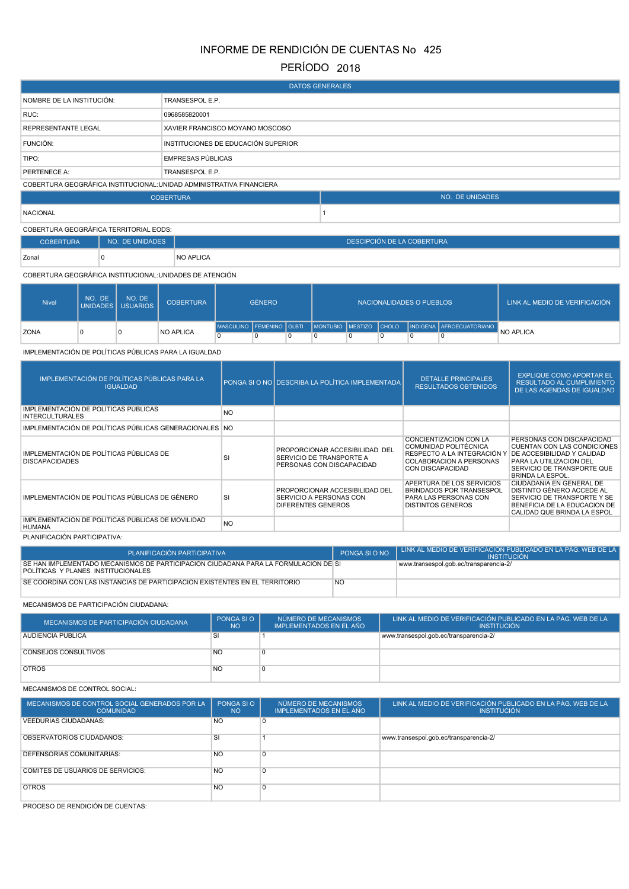# INFORME DE RENDICIÓN DE CUENTAS No 425

## PERÍODO 2018

| <b>DATOS GENERALES</b>                                               |                                     |  |                 |  |  |  |  |
|----------------------------------------------------------------------|-------------------------------------|--|-----------------|--|--|--|--|
| NOMBRE DE LA INSTITUCIÓN:                                            | TRANSESPOL E.P.                     |  |                 |  |  |  |  |
| RUC:                                                                 | 0968585820001                       |  |                 |  |  |  |  |
| <b>REPRESENTANTE LEGAL</b>                                           | XAVIER FRANCISCO MOYANO MOSCOSO     |  |                 |  |  |  |  |
| FUNCIÓN:                                                             | INSTITUCIONES DE EDUCACIÓN SUPERIOR |  |                 |  |  |  |  |
| TIPO:                                                                | <b>EMPRESAS PÚBLICAS</b>            |  |                 |  |  |  |  |
| PERTENECE A:                                                         | TRANSESPOL E.P.                     |  |                 |  |  |  |  |
| COBERTURA GEOGRÁFICA INSTITUCIONAL: UNIDAD ADMINISTRATIVA FINANCIERA |                                     |  |                 |  |  |  |  |
|                                                                      | <b>COBERTURA</b>                    |  | NO. DE UNIDADES |  |  |  |  |
| <b>NACIONAL</b>                                                      |                                     |  |                 |  |  |  |  |

COBERTURA GEOGRÁFICA TERRITORIAL EODS:

| <b>COBERTURA</b> | NO. DE UNIDADES | DESCIPCIÓN DE LA COBERTURA |
|------------------|-----------------|----------------------------|
| Zonal            | C.              | <b>NO APLICA</b>           |

COBERTURA GEOGRÁFICA INSTITUCIONAL:UNIDADES DE ATENCIÓN

| <b>Nivel</b> | NO. DE | NO. DE<br>UNIDADES USUARIOS | <b>COBERTURA</b> | <b>GÉNERO</b>            |  |  | NACIONALIDADES O PUEBLOS       |  | LINK AL MEDIO DE VERIFICACIÓN |                          |                  |
|--------------|--------|-----------------------------|------------------|--------------------------|--|--|--------------------------------|--|-------------------------------|--------------------------|------------------|
| <b>ZONA</b>  |        |                             | <b>NO APLICA</b> | MASCULINO FEMENINO GLBTI |  |  | I I MONTUBIO I MESTIZO I CHOLO |  |                               | INDIGENA AFROECUATORIANO | <b>NO APLICA</b> |
|              |        |                             |                  |                          |  |  |                                |  |                               |                          |                  |

IMPLEMENTACIÓN DE POLÍTICAS PÚBLICAS PARA LA IGUALDAD

| IMPLEMENTACIÓN DE POLÍTICAS PÚBLICAS PARA LA<br><b>IGUALDAD</b>  |           | PONGA SI O NO DESCRIBA LA POLÍTICA IMPLEMENTADA                                         | <b>DETALLE PRINCIPALES</b><br><b>RESULTADOS OBTENIDOS</b>                                                                            | <b>EXPLIQUE COMO APORTAR EL</b><br><b>RESULTADO AL CUMPLIMIENTO</b><br>DE LAS AGENDAS DE IGUALDAD                                                                                 |
|------------------------------------------------------------------|-----------|-----------------------------------------------------------------------------------------|--------------------------------------------------------------------------------------------------------------------------------------|-----------------------------------------------------------------------------------------------------------------------------------------------------------------------------------|
| IMPLEMENTACIÓN DE POLÍTICAS PÚBLICAS<br><b>INTERCULTURALES</b>   | NO.       |                                                                                         |                                                                                                                                      |                                                                                                                                                                                   |
| IMPLEMENTACIÓN DE POLÍTICAS PÚBLICAS GENERACIONALES NO           |           |                                                                                         |                                                                                                                                      |                                                                                                                                                                                   |
| IMPLEMENTACIÓN DE POLÍTICAS PÚBLICAS DE<br><b>DISCAPACIDADES</b> | SI        | PROPORCIONAR ACCESIBILIDAD DEL<br>SERVICIO DE TRANSPORTE A<br>PERSONAS CON DISCAPACIDAD | CONCIENTIZACION CON LA<br>COMUNIDAD POLITÉCNICA<br>RESPECTO A LA INTEGRACIÓN Y<br>COLABORACION A PERSONAS<br><b>CON DISCAPACIDAD</b> | PERSONAS CON DISCAPACIDAD<br>CUENTAN CON LAS CONDICIONES<br><b>DE ACCESIBILIDAD Y CALIDAD</b><br>PARA LA UTILIZACION DEL<br>SERVICIO DE TRANSPORTE QUE<br><b>BRINDA LA ESPOL.</b> |
| IMPLEMENTACIÓN DE POLÍTICAS PÚBLICAS DE GÉNERO                   | SI        | PROPORCIONAR ACCESIBILIDAD DEL<br>SERVICIO A PERSONAS CON<br>DIFERENTES GENEROS         | APERTURA DE LOS SERVICIOS<br><b>BRINDADOS POR TRANSESPOL</b><br>PARA LAS PERSONAS CON<br><b>DISTINTOS GENEROS</b>                    | CIUDADANIA EN GENERAL DE<br>DISTINTO GÉNERO ACCEDE AL<br>SERVICIO DE TRANSPORTE Y SE<br>BENEFICIA DE LA EDUCACION DE<br>CALIDAD QUE BRINDA LA ESPOL                               |
| IMPLEMENTACIÓN DE POLÍTICAS PÚBLICAS DE MOVILIDAD<br>HUMANA      | <b>NO</b> |                                                                                         |                                                                                                                                      |                                                                                                                                                                                   |
| PLANIFICACIÓN PARTICIPATIVA:                                     |           |                                                                                         |                                                                                                                                      |                                                                                                                                                                                   |

| PLANIFICACIÓN PARTICIPATIVA                                                                                               | PONGA SI O NO | I LINK AL MEDIO DE VERIFICACIÓN PUBLICADO EN LA PÁG. WEB DE LA<br><b>INSTITUCIÓN</b> |
|---------------------------------------------------------------------------------------------------------------------------|---------------|--------------------------------------------------------------------------------------|
| SE HAN IMPLEMENTADO MECANISMOS DE PARTICIPACIÓN CIUDADANA PARA LA FORMULACIÓN DE SI<br>POLITICAS Y PLANES INSTITUCIONALES |               | www.transespol.gob.ec/transparencia-2/                                               |
| SE COORDINA CON LAS INSTANCIAS DE PARTICIPACIÓN EXISTENTES EN EL TERRITORIO                                               |               |                                                                                      |

MECANISMOS DE PARTICIPACIÓN CIUDADANA:

| MECANISMOS DE PARTICIPACIÓN CIUDADANA | PONGA SI O<br><b>NO</b> | NÚMERO DE MECANISMOS<br>IMPLEMENTADOS EN EL AÑO | LINK AL MEDIO DE VERIFICACIÓN PUBLICADO EN LA PÁG. WEB DE LA<br><b>INSTITUCIÓN</b> |
|---------------------------------------|-------------------------|-------------------------------------------------|------------------------------------------------------------------------------------|
| <b>AUDIENCIA PÚBLICA</b>              | SI                      |                                                 | www.transespol.gob.ec/transparencia-2/                                             |
| CONSEJOS CONSULTIVOS                  | <b>NC</b>               |                                                 |                                                                                    |
| <b>OTROS</b>                          | <b>NO</b>               |                                                 |                                                                                    |

MECANISMOS DE CONTROL SOCIAL:

| MECANISMOS DE CONTROL SOCIAL GENERADOS POR LA<br><b>COMUNIDAD</b> | PONGA SIO<br><b>NO</b> | NÚMERO DE MECANISMOS<br><b>IMPLEMENTADOS EN EL AÑO</b> | LINK AL MEDIO DE VERIFICACIÓN PUBLICADO EN LA PÁG. WEB DE LA<br><b>INSTITUCIÓN</b> |
|-------------------------------------------------------------------|------------------------|--------------------------------------------------------|------------------------------------------------------------------------------------|
| VEEDURIAS CIUDADANAS:                                             | N <sub>O</sub>         | $\Omega$                                               |                                                                                    |
| OBSERVATORIOS CIUDADANOS:                                         | <b>SI</b>              |                                                        | www.transespol.gob.ec/transparencia-2/                                             |
| <b>DEFENSORÍAS COMUNITARIAS:</b>                                  | <b>NO</b>              | $\Omega$                                               |                                                                                    |
| <b>COMITÉS DE USUARIOS DE SERVICIOS:</b>                          | <b>NO</b>              | $\Omega$                                               |                                                                                    |
| <b>OTROS</b>                                                      | <b>NO</b>              | $\Omega$                                               |                                                                                    |

PROCESO DE RENDICIÓN DE CUENTAS: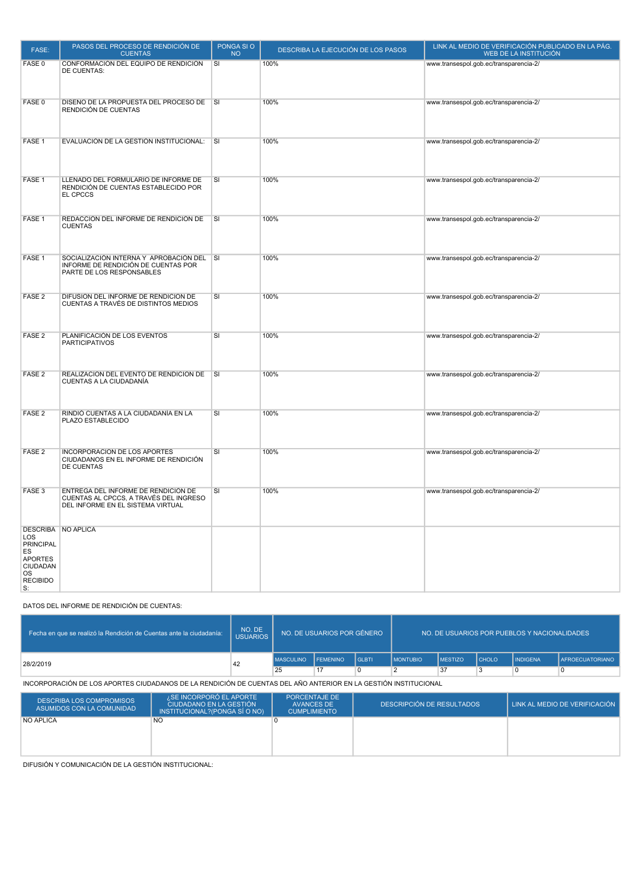| FASE:                                                                                             | PASOS DEL PROCESO DE RENDICIÓN DE<br><b>CUENTAS</b>                                                                | PONGA SIO<br><b>NO</b>  | DESCRIBA LA EJECUCIÓN DE LOS PASOS | LINK AL MEDIO DE VERIFICACIÓN PUBLICADO EN LA PÁG.<br>WEB DE LA INSTITUCIÓN |
|---------------------------------------------------------------------------------------------------|--------------------------------------------------------------------------------------------------------------------|-------------------------|------------------------------------|-----------------------------------------------------------------------------|
| FASE 0                                                                                            | CONFORMACIÓN DEL EQUIPO DE RENDICIÓN<br><b>DE CUENTAS:</b>                                                         | SI                      | 100%                               | www.transespol.gob.ec/transparencia-2/                                      |
| FASE 0                                                                                            | DISEÑO DE LA PROPUESTA DEL PROCESO DE<br>RENDICIÓN DE CUENTAS                                                      | $\overline{\mathsf{S}}$ | 100%                               | www.transespol.gob.ec/transparencia-2/                                      |
| FASE 1                                                                                            | EVALUACIÓN DE LA GESTIÓN INSTITUCIONAL:                                                                            | <b>SI</b>               | 100%                               | www.transespol.gob.ec/transparencia-2/                                      |
| FASE <sub>1</sub>                                                                                 | LLENADO DEL FORMULARIO DE INFORME DE<br>RENDICIÓN DE CUENTAS ESTABLECIDO POR<br>EL CPCCS                           | SI                      | 100%                               | www.transespol.gob.ec/transparencia-2/                                      |
| FASE 1                                                                                            | REDACCIÓN DEL INFORME DE RENDICIÓN DE<br><b>CUENTAS</b>                                                            | SI                      | 100%                               | www.transespol.gob.ec/transparencia-2/                                      |
| FASE 1                                                                                            | SOCIALIZACIÓN INTERNA Y APROBACIÓN DEL SI<br>INFORME DE RENDICIÓN DE CUENTAS POR<br>PARTE DE LOS RESPONSABLES      |                         | 100%                               | www.transespol.gob.ec/transparencia-2/                                      |
| FASE <sub>2</sub>                                                                                 | DIFUSIÓN DEL INFORME DE RENDICIÓN DE<br>CUENTAS A TRAVÉS DE DISTINTOS MEDIOS                                       | SI                      | 100%                               | www.transespol.gob.ec/transparencia-2/                                      |
| FASE <sub>2</sub>                                                                                 | PLANIFICACIÓN DE LOS EVENTOS<br><b>PARTICIPATIVOS</b>                                                              | SI                      | 100%                               | www.transespol.gob.ec/transparencia-2/                                      |
| FASE <sub>2</sub>                                                                                 | REALIZACIÓN DEL EVENTO DE RENDICIÓN DE<br>CUENTAS A LA CIUDADANÍA                                                  | $\overline{\mathsf{S}}$ | 100%                               | www.transespol.gob.ec/transparencia-2/                                      |
| FASE <sub>2</sub>                                                                                 | RINDIÓ CUENTAS A LA CIUDADANÍA EN LA<br>PLAZO ESTABLECIDO                                                          | SI                      | 100%                               | www.transespol.gob.ec/transparencia-2/                                      |
| FASE <sub>2</sub>                                                                                 | <b>INCORPORACIÓN DE LOS APORTES</b><br>CIUDADANOS EN EL INFORME DE RENDICIÓN<br><b>DE CUENTAS</b>                  | SI                      | 100%                               | www.transespol.gob.ec/transparencia-2/                                      |
| FASE <sub>3</sub>                                                                                 | ENTREGA DEL INFORME DE RENDICIÓN DE<br>CUENTAS AL CPCCS, A TRAVÉS DEL INGRESO<br>DEL INFORME EN EL SISTEMA VIRTUAL | SI                      | 100%                               | www.transespol.gob.ec/transparencia-2/                                      |
| LOS<br><b>PRINCIPAL</b><br>ES<br><b>APORTES</b><br>CIUDADAN<br><b>OS</b><br><b>RECIBIDO</b><br>S: | DESCRIBA NO APLICA                                                                                                 |                         |                                    |                                                                             |

### DATOS DEL INFORME DE RENDICIÓN DE CUENTAS:

| Fecha en que se realizó la Rendición de Cuentas ante la ciudadanía: | NO. DE<br><b>USUARIOS</b> | NO. DE USUARIOS POR GÉNERO |                   | NO. DE USUARIOS POR PUEBLOS Y NACIONALIDADES |                  |                |                |                 |                        |
|---------------------------------------------------------------------|---------------------------|----------------------------|-------------------|----------------------------------------------|------------------|----------------|----------------|-----------------|------------------------|
| 28/2/2019                                                           | 42                        | <b>MASCULINO</b>           | <b>I FEMENINO</b> | <b>I</b> GLBTI                               | <b>IMONTUBIO</b> | <b>MESTIZO</b> | <b>I</b> CHOLO | <b>INDIGENA</b> | <b>AFROECUATORIANO</b> |
|                                                                     |                           | 25                         | $+17$             |                                              |                  | 37             |                |                 |                        |

#### INCORPORACIÓN DE LOS APORTES CIUDADANOS DE LA RENDICIÓN DE CUENTAS DEL AÑO ANTERIOR EN LA GESTIÓN INSTITUCIONAL

| <b>DESCRIBA LOS COMPROMISOS</b><br>ASUMIDOS CON LA COMUNIDAD | ¿SE INCORPORÓ EL APORTE<br>CIUDADANO EN LA GESTIÓN<br>INSTITUCIONAL? (PONGA SÍ O NO) | PORCENTAJE DE<br>AVANCES DE<br><b>CUMPLIMIENTO</b> | <b>DESCRIPCIÓN DE RESULTADOS</b> | LINK AL MEDIO DE VERIFICACIÓN |
|--------------------------------------------------------------|--------------------------------------------------------------------------------------|----------------------------------------------------|----------------------------------|-------------------------------|
| <b>NO APLICA</b>                                             | N <sub>O</sub>                                                                       |                                                    |                                  |                               |

DIFUSIÓN Y COMUNICACIÓN DE LA GESTIÓN INSTITUCIONAL: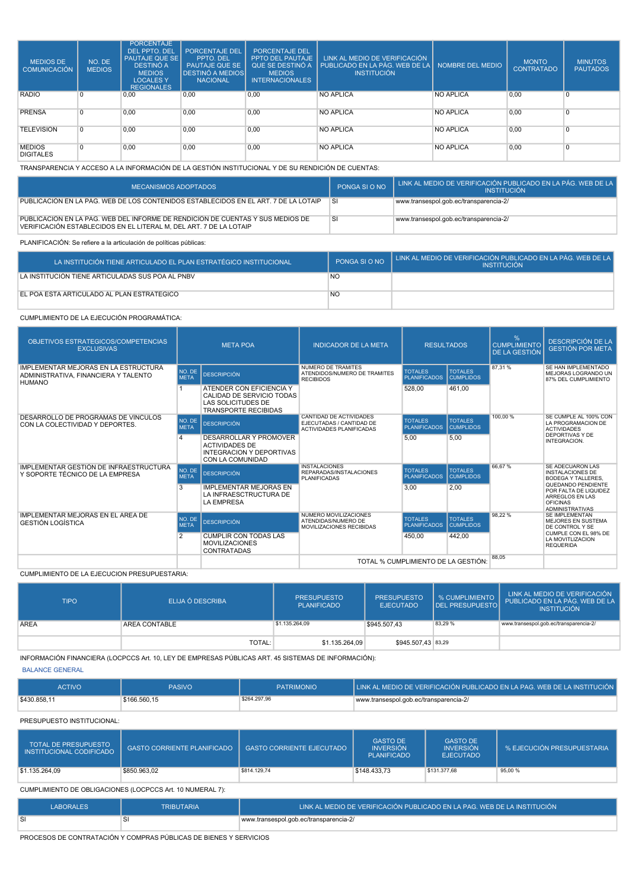| <b>MEDIOS DE</b><br><b>COMUNICACIÓN</b> | NO. DE<br><b>MEDIOS</b> | <b>PORCENTAJE</b><br><b>DEL PPTO, DEL</b><br><b>PAUTAJE QUE SE</b><br><b>DESTINÓ A</b><br><b>MEDIOS</b><br><b>LOCALESY</b><br><b>REGIONALES</b> | <b>PORCENTAJE DEL</b><br>PPTO. DEL<br><b>PAUTAJE QUE SE</b><br><b>DESTINÓ A MEDIOS</b><br><b>NACIONAL</b> | <b>PORCENTAJE DEL</b><br><b>PPTO DEL PAUTAJE</b><br>QUE SE DESTINÓ A<br><b>MEDIOS</b><br><b>INTERNACIONALES</b> | LINK AL MEDIO DE VERIFICACIÓN<br>PUBLICADO EN LA PÁG. WEB DE LA I<br><b>INSTITUCIÓN</b> | NOMBRE DEL MEDIO | <b>MONTO</b><br><b>CONTRATADO</b> | <b>MINUTOS</b><br><b>PAUTADOS</b> |
|-----------------------------------------|-------------------------|-------------------------------------------------------------------------------------------------------------------------------------------------|-----------------------------------------------------------------------------------------------------------|-----------------------------------------------------------------------------------------------------------------|-----------------------------------------------------------------------------------------|------------------|-----------------------------------|-----------------------------------|
| <b>RADIO</b>                            | $\Omega$                | 0,00                                                                                                                                            | 0,00                                                                                                      | 0.00                                                                                                            | <b>NO APLICA</b>                                                                        | NO APLICA        | 0,00                              | $\Omega$                          |
| <b>PRENSA</b>                           | 0 I                     | 0,00                                                                                                                                            | 0,00                                                                                                      | 0,00                                                                                                            | <b>NO APLICA</b>                                                                        | NO APLICA        | 0,00                              | 0                                 |
| <b>TELEVISIÓN</b>                       | $\Omega$                | 0,00                                                                                                                                            | 0,00                                                                                                      | 0,00                                                                                                            | NO APLICA                                                                               | <b>NO APLICA</b> | 0,00                              | $\Omega$                          |
| <b>MEDIOS</b><br><b>DIGITALES</b>       | $\Omega$                | 0,00                                                                                                                                            | 0,00                                                                                                      | 0,00                                                                                                            | <b>NO APLICA</b>                                                                        | <b>NO APLICA</b> | 0,00                              | $\Omega$                          |

TRANSPARENCIA Y ACCESO A LA INFORMACIÓN DE LA GESTIÓN INSTITUCIONAL Y DE SU RENDICIÓN DE CUENTAS:

| MECANISMOS ADOPTADOS                                                                                                                                 | PONGA SI O NO | LINK AL MEDIO DE VERIFICACIÓN PUBLICADO EN LA PÁG. WEB DE LA I<br><b>INSTITUCIÓN</b> |
|------------------------------------------------------------------------------------------------------------------------------------------------------|---------------|--------------------------------------------------------------------------------------|
| PUBLICACIÓN EN LA PÁG. WEB DE LOS CONTENIDOS ESTABLECIDOS EN EL ART. 7 DE LA LOTAIP                                                                  | <b>SI</b>     | www.transespol.gob.ec/transparencia-2/                                               |
| PUBLICACIÓN EN LA PÁG. WEB DEL INFORME DE RENDICIÓN DE CUENTAS Y SUS MEDIOS DE<br>VERIFICACIÓN ESTABLECIDOS EN EL LITERAL M. DEL ART. 7 DE LA LOTAIP | -SI           | www.transespol.gob.ec/transparencia-2/                                               |

#### PLANIFICACIÓN: Se refiere a la articulación de políticas públicas:

| LA INSTITUCIÓN TIENE ARTICULADO EL PLAN ESTRATÉGICO INSTITUCIONAL | PONGA SI O NO | LINK AL MEDIO DE VERIFICACIÓN PUBLICADO EN LA PÁG. WEB DE LA I<br><b>INSTITUCIÓN</b> |
|-------------------------------------------------------------------|---------------|--------------------------------------------------------------------------------------|
| LA INSTITUCIÓN TIENE ARTICULADAS SUS POA AL PNBV                  | <b>NO</b>     |                                                                                      |
| EL POA ESTÁ ARTICULADO AL PLAN ESTRATÉGICO                        | <b>NO</b>     |                                                                                      |

#### CUMPLIMIENTO DE LA EJECUCIÓN PROGRAMÁTICA:

| OBJETIVOS ESTRATEGICOS/COMPETENCIAS<br><b>EXCLUSIVAS</b>                                             | <b>META POA</b>       |                                                                                                                   | <b>RESULTADOS</b><br><b>INDICADOR DE LA META</b>                                              |                                       |                                    | %<br><b>CUMPLIMIENTO</b><br><b>DE LA GESTIÓN</b> | <b>DESCRIPCIÓN DE LA</b><br><b>GESTIÓN POR META</b>                                                         |
|------------------------------------------------------------------------------------------------------|-----------------------|-------------------------------------------------------------------------------------------------------------------|-----------------------------------------------------------------------------------------------|---------------------------------------|------------------------------------|--------------------------------------------------|-------------------------------------------------------------------------------------------------------------|
| <b>IMPLEMENTAR MEJORAS EN LA ESTRUCTURA</b><br>ADMINISTRATIVA, FINANCIERA Y TALENTO<br><b>HUMANO</b> | NO. DE<br><b>META</b> | <b>DESCRIPCIÓN</b>                                                                                                | NUMERO DE TRAMITES<br>ATENDIDOS/NUMERO DE TRAMITES<br><b>RECIBIDOS</b>                        | <b>TOTALES</b><br><b>PLANIFICADOS</b> | <b>TOTALES</b><br><b>CUMPLIDOS</b> | 87.31 %                                          | SE HAN IMPLEMENTADO<br>MEJORAS LOGRANDO UN<br>87% DEL CUMPLIMIENTO                                          |
|                                                                                                      |                       | ATENDER CON EFICIENCIA Y<br>CALIDAD DE SERVICIO TODAS<br><b>LAS SOLICITUDES DE</b><br><b>TRANSPORTE RECIBIDAS</b> |                                                                                               | 528.00                                | 461.00                             |                                                  |                                                                                                             |
| DESARROLLO DE PROGRAMAS DE VÍNCULOS<br>CON LA COLECTIVIDAD Y DEPORTES.                               | NO. DE<br><b>META</b> | <b>DESCRIPCIÓN</b>                                                                                                | <b>CANTIDAD DE ACTIVIDADES</b><br>EJECUTADAS / CANTIDAD DE<br><b>ACTIVIDADES PLANIFICADAS</b> | <b>TOTALES</b><br><b>PLANIFICADOS</b> | <b>TOTALES</b><br><b>CUMPLIDOS</b> | 100.00 %                                         | SE CUMPLE AL 100% CON<br>LA PROGRAMACION DE<br><b>ACTIVIDADES</b>                                           |
|                                                                                                      |                       | DESARROLLAR Y PROMOVER<br><b>ACTIVIDADES DE</b><br><b>INTEGRACION Y DEPORTIVAS</b><br>CON LA COMUNIDAD            |                                                                                               | 5.00                                  | 5.00                               |                                                  | DEPORTIVAS Y DE<br>INTEGRACION.                                                                             |
| IMPLEMENTAR GESTIÓN DE INFRAESTRUCTURA<br>Y SOPORTE TÉCNICO DE LA EMPRESA                            | NO. DE<br><b>META</b> | <b>DESCRIPCIÓN</b>                                                                                                | <b>INSTALACIONES</b><br>REPARADAS/INSTALACIONES<br><b>PLANIFICADAS</b>                        | <b>TOTALES</b><br><b>PLANIFICADOS</b> | <b>TOTALES</b><br><b>CUMPLIDOS</b> | 66.67%                                           | SE ADECUARON LAS<br><b>INSTALACIONES DE</b><br><b>BODEGA Y TALLERES.</b>                                    |
|                                                                                                      | 3                     | <b>IMPLEMENTAR MEJORAS EN</b><br>LA INFRAESCTRUCTURA DE<br><b>LA EMPRESA</b>                                      |                                                                                               | 3.00                                  | 2.00                               |                                                  | <b>OUEDANDO PENDIENTE</b><br>POR FALTA DE LIQUIDEZ<br>ARREGLOS EN LAS<br>OFICINAS<br><b>ADMINISTRATIVAS</b> |
| IMPLEMENTAR MEJORAS EN EL ÁREA DE<br><b>GESTIÓN LOGÍSTICA</b>                                        | NO. DE<br><b>META</b> | <b>DESCRIPCIÓN</b>                                                                                                | NUMERO MOVILIZACIONES<br>ATENDIDAS/NUMERO DE<br>MOVILIZACIONES RECIBIDAS                      | <b>TOTALES</b><br><b>PLANIFICADOS</b> | <b>TOTALES</b><br><b>CUMPLIDOS</b> | 98.22 %                                          | SE IMPLEMENTAN<br>MEJORES EN SUSTEMA<br>DE CONTROL Y SE                                                     |
|                                                                                                      | $\overline{2}$        | <b>CUMPLIR CON TODAS LAS</b><br><b>MOVILIZACIONES</b><br><b>CONTRATADAS</b>                                       |                                                                                               | 450.00                                | 442.00                             |                                                  | CUMPLE CON EL 98% DE<br>LA MOVITLIZACION<br><b>REQUERIDA</b>                                                |
|                                                                                                      |                       |                                                                                                                   | TOTAL % CUMPLIMIENTO DE LA GESTIÓN:                                                           |                                       | 88,05                              |                                                  |                                                                                                             |

CUMPLIMIENTO DE LA EJECUCION PRESUPUESTARIA:

| <b>TIPO</b> | ELIJA Ó DESCRIBA     | <b>PRESUPUESTO</b><br>PLANIFICADO | <b>PRESUPUESTO</b><br><b>EJECUTADO</b> | % CUMPLIMIENTO  <br><b>IDEL PRESUPUESTOI</b> | LINK AL MEDIO DE VERIFICACIÓN<br>PUBLICADO EN LA PÁG. WEB DE LA<br><b>INSTITUCIÓN</b> |
|-------------|----------------------|-----------------------------------|----------------------------------------|----------------------------------------------|---------------------------------------------------------------------------------------|
| <b>AREA</b> | <b>AREA CONTABLE</b> | \$1.135.264,09                    | \$945,507.43                           | 83,29 %                                      | www.transespol.gob.ec/transparencia-2/                                                |
|             | TOTAL:               | \$1.135.264.09                    | \$945,507,43 83,29                     |                                              |                                                                                       |

INFORMACIÓN FINANCIERA (LOCPCCS Art. 10, LEY DE EMPRESAS PÚBLICAS ART. 45 SISTEMAS DE INFORMACIÓN):

BALANCE GENERAL

| <b>ACTIVO</b> | PASIVO       | <b>PATRIMONIO</b> | LINK AL MEDIO DE VERIFICACIÓN PUBLICADO EN LA PAG. WEB DE LA INSTITUCIÓN |
|---------------|--------------|-------------------|--------------------------------------------------------------------------|
| \$430.858,11  | \$166,560.15 | \$264.297.96      | www.transespol.gob.ec/transparencia-2/                                   |

#### PRESUPUESTO INSTITUCIONAL:

| <b>TOTAL DE PRESUPUESTO</b><br>INSTITUCIONAL CODIFICADO | GASTO CORRIENTE PLANIFICADO   GASTO CORRIENTE EJECUTADO |              | <b>GASTO DE</b><br><b>INVERSIÓN</b><br><b>PLANIFICADO</b> | <b>GASTO DE</b><br><b>INVERSIÓN</b><br><b>EJECUTADO</b> | % EJECUCIÓN PRESUPUESTARIA |
|---------------------------------------------------------|---------------------------------------------------------|--------------|-----------------------------------------------------------|---------------------------------------------------------|----------------------------|
| \$1.135.264.09                                          | \$850.963,02                                            | \$814,129.74 | \$148,433.73                                              | \$131,377.68                                            | 95,00 %                    |

CUMPLIMIENTO DE OBLIGACIONES (LOCPCCS Art. 10 NUMERAL 7):

| <b>LABORALES</b> | <b>TRIBUTARIA</b> | LLINK AL MEDIO DE VERIFICACIÓN PUBLICADO EN LA PAG. WEB DE LA INSTITUCIÓN <sup>1</sup> |
|------------------|-------------------|----------------------------------------------------------------------------------------|
|                  |                   | www.transespol.gob.ec/transparencia-2/                                                 |

PROCESOS DE CONTRATACIÓN Y COMPRAS PÚBLICAS DE BIENES Y SERVICIOS